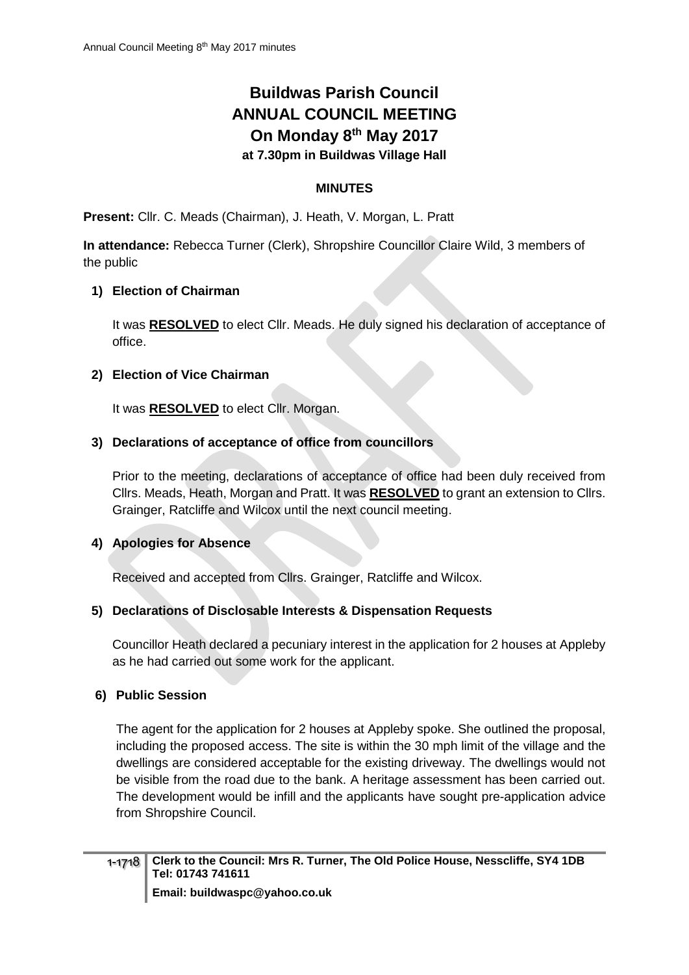# **Buildwas Parish Council ANNUAL COUNCIL MEETING On Monday 8 th May 2017 at 7.30pm in Buildwas Village Hall**

## **MINUTES**

**Present:** Cllr. C. Meads (Chairman), J. Heath, V. Morgan, L. Pratt

**In attendance:** Rebecca Turner (Clerk), Shropshire Councillor Claire Wild, 3 members of the public

#### **1) Election of Chairman**

It was **RESOLVED** to elect Cllr. Meads. He duly signed his declaration of acceptance of office.

#### **2) Election of Vice Chairman**

It was **RESOLVED** to elect Cllr. Morgan.

#### **3) Declarations of acceptance of office from councillors**

Prior to the meeting, declarations of acceptance of office had been duly received from Cllrs. Meads, Heath, Morgan and Pratt. It was **RESOLVED** to grant an extension to Cllrs. Grainger, Ratcliffe and Wilcox until the next council meeting.

#### **4) Apologies for Absence**

Received and accepted from Cllrs. Grainger, Ratcliffe and Wilcox.

## **5) Declarations of Disclosable Interests & Dispensation Requests**

Councillor Heath declared a pecuniary interest in the application for 2 houses at Appleby as he had carried out some work for the applicant.

#### **6) Public Session**

The agent for the application for 2 houses at Appleby spoke. She outlined the proposal, including the proposed access. The site is within the 30 mph limit of the village and the dwellings are considered acceptable for the existing driveway. The dwellings would not be visible from the road due to the bank. A heritage assessment has been carried out. The development would be infill and the applicants have sought pre-application advice from Shropshire Council.

**Email: buildwaspc@yahoo.co.uk**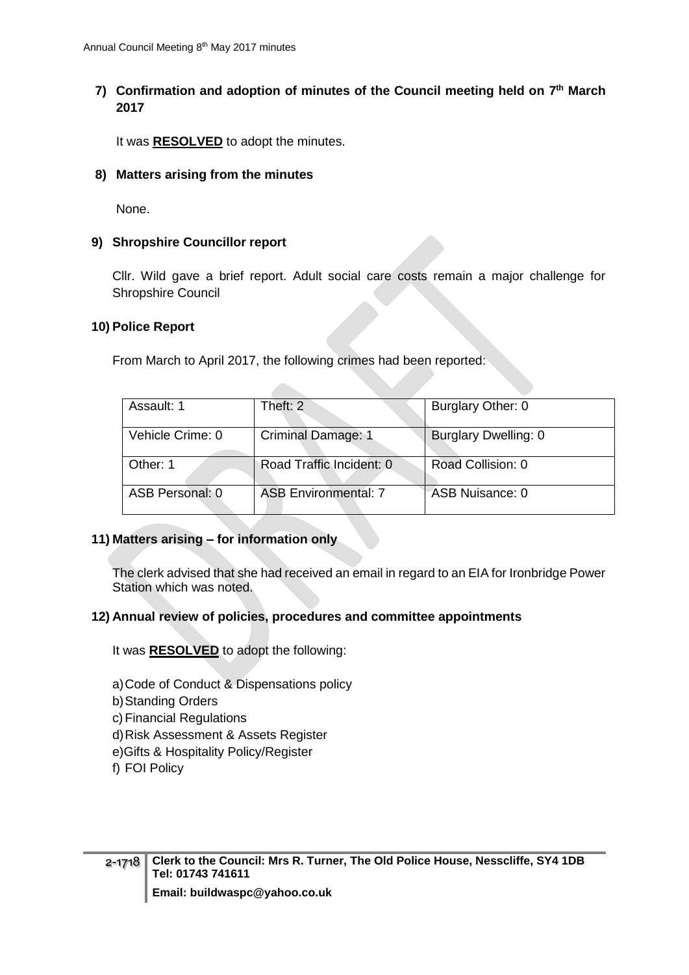# **7) Confirmation and adoption of minutes of the Council meeting held on 7 th March 2017**

It was **RESOLVED** to adopt the minutes.

#### **8) Matters arising from the minutes**

None.

#### **9) Shropshire Councillor report**

Cllr. Wild gave a brief report. Adult social care costs remain a major challenge for Shropshire Council

#### **10) Police Report**

From March to April 2017, the following crimes had been reported:

| Assault: 1       | Theft: 2                    | Burglary Other: 0    |
|------------------|-----------------------------|----------------------|
| Vehicle Crime: 0 | <b>Criminal Damage: 1</b>   | Burglary Dwelling: 0 |
| Other: 1         | Road Traffic Incident: 0    | Road Collision: 0    |
| ASB Personal: 0  | <b>ASB Environmental: 7</b> | ASB Nuisance: 0      |

#### **11) Matters arising – for information only**

The clerk advised that she had received an email in regard to an EIA for Ironbridge Power Station which was noted.

#### **12) Annual review of policies, procedures and committee appointments**

It was **RESOLVED** to adopt the following:

- a)Code of Conduct & Dispensations policy
- b)Standing Orders
- c) Financial Regulations
- d)Risk Assessment & Assets Register
- e)Gifts & Hospitality Policy/Register
- f) FOI Policy

**Email: buildwaspc@yahoo.co.uk**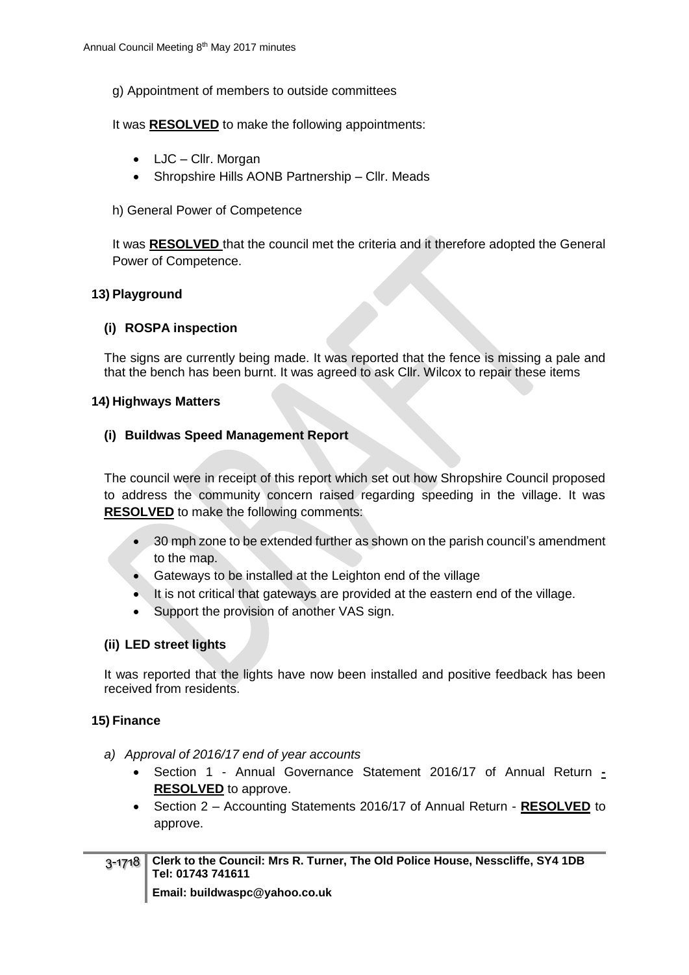g) Appointment of members to outside committees

It was **RESOLVED** to make the following appointments:

- LJC Cllr. Morgan
- Shropshire Hills AONB Partnership Cllr. Meads
- h) General Power of Competence

It was **RESOLVED** that the council met the criteria and it therefore adopted the General Power of Competence.

#### **13) Playground**

#### **(i) ROSPA inspection**

The signs are currently being made. It was reported that the fence is missing a pale and that the bench has been burnt. It was agreed to ask Cllr. Wilcox to repair these items

#### **14) Highways Matters**

#### **(i) Buildwas Speed Management Report**

The council were in receipt of this report which set out how Shropshire Council proposed to address the community concern raised regarding speeding in the village. It was **RESOLVED** to make the following comments:

- 30 mph zone to be extended further as shown on the parish council's amendment to the map.
- Gateways to be installed at the Leighton end of the village
- It is not critical that gateways are provided at the eastern end of the village.
- Support the provision of another VAS sign.

## **(ii) LED street lights**

It was reported that the lights have now been installed and positive feedback has been received from residents.

## **15) Finance**

- *a) Approval of 2016/17 end of year accounts*
	- Section 1 Annual Governance Statement 2016/17 of Annual Return **- RESOLVED** to approve.
	- Section 2 Accounting Statements 2016/17 of Annual Return **RESOLVED** to approve.

| 3-1718   Clerk to the Council: Mrs R. Turner, The Old Police House, Nesscliffe, SY4 1DB<br>Tel: 01743 741611 |
|--------------------------------------------------------------------------------------------------------------|
| <b>Email: buildwaspc@yahoo.co.uk</b>                                                                         |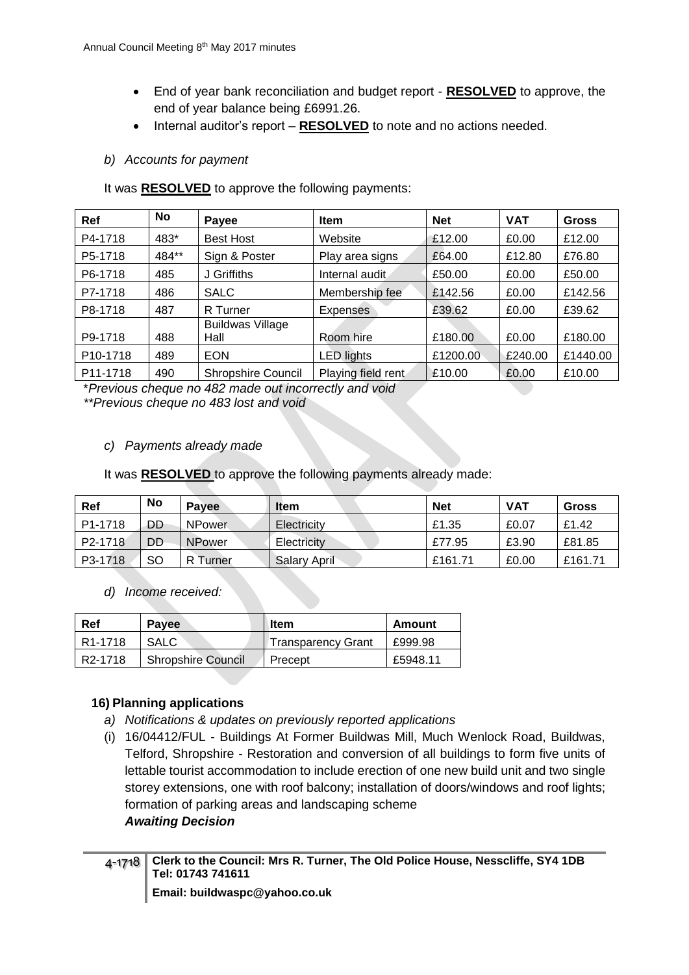- End of year bank reconciliation and budget report **RESOLVED** to approve, the end of year balance being £6991.26.
- Internal auditor's report **RESOLVED** to note and no actions needed.

# *b) Accounts for payment*

It was **RESOLVED** to approve the following payments:

| Ref                   | No    | Payee                           | <b>Item</b>        | <b>Net</b> | <b>VAT</b> | <b>Gross</b> |
|-----------------------|-------|---------------------------------|--------------------|------------|------------|--------------|
| P4-1718               | 483*  | <b>Best Host</b>                | Website            | £12.00     | £0.00      | £12.00       |
| P5-1718               | 484** | Sign & Poster                   | Play area signs    | £64.00     | £12.80     | £76.80       |
| P6-1718               | 485   | J Griffiths                     | Internal audit     | £50.00     | £0.00      | £50.00       |
| P7-1718               | 486   | <b>SALC</b>                     | Membership fee     | £142.56    | £0.00      | £142.56      |
| P8-1718               | 487   | R Turner                        | <b>Expenses</b>    | £39.62     | £0.00      | £39.62       |
| P9-1718               | 488   | <b>Buildwas Village</b><br>Hall | Room hire          | £180.00    | £0.00      | £180.00      |
| P <sub>10</sub> -1718 | 489   | <b>EON</b>                      | <b>LED</b> lights  | £1200.00   | £240.00    | £1440.00     |
| P11-1718              | 490   | <b>Shropshire Council</b>       | Playing field rent | £10.00     | £0.00      | £10.00       |

\**Previous cheque no 482 made out incorrectly and void*

*\*\*Previous cheque no 483 lost and void*

# *c) Payments already made*

It was **RESOLVED** to approve the following payments already made:

| Ref                  | <b>No</b> | Payee         | <b>Item</b>         | <b>Net</b> | <b>VAT</b> | Gross   |
|----------------------|-----------|---------------|---------------------|------------|------------|---------|
| P <sub>1</sub> -1718 | DD        | <b>NPower</b> | Electricity         | £1.35      | £0.07      | £1.42   |
| P <sub>2</sub> -1718 | DD        | <b>NPower</b> | Electricity         | £77.95     | £3.90      | £81.85  |
| P3-1718              | <b>SO</b> | Turner        | <b>Salary April</b> | £161.71    | £0.00      | £161.71 |

*d) Income received:*

| Ref                  | <b>Pavee</b>              | ltem               | Amount   |
|----------------------|---------------------------|--------------------|----------|
| R <sub>1</sub> -1718 | SALC                      | Transparency Grant | £999.98  |
| R <sub>2</sub> -1718 | <b>Shropshire Council</b> | Precept            | £5948.11 |

# **16) Planning applications**

- *a) Notifications & updates on previously reported applications*
- (i) 16/04412/FUL Buildings At Former Buildwas Mill, Much Wenlock Road, Buildwas, Telford, Shropshire - Restoration and conversion of all buildings to form five units of lettable tourist accommodation to include erection of one new build unit and two single storey extensions, one with roof balcony; installation of doors/windows and roof lights; formation of parking areas and landscaping scheme *Awaiting Decision*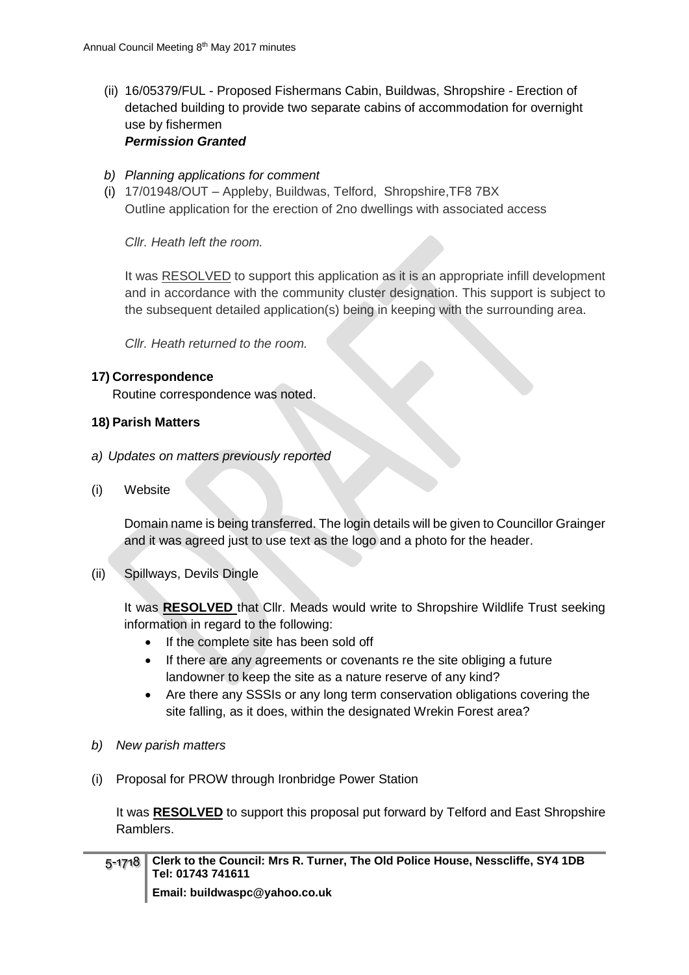(ii) 16/05379/FUL - Proposed Fishermans Cabin, Buildwas, Shropshire - Erection of detached building to provide two separate cabins of accommodation for overnight use by fishermen

#### *Permission Granted*

- *b) Planning applications for comment*
- (i) 17/01948/OUT Appleby, Buildwas, Telford, Shropshire,TF8 7BX Outline application for the erection of 2no dwellings with associated access

*Cllr. Heath left the room.*

It was RESOLVED to support this application as it is an appropriate infill development and in accordance with the community cluster designation. This support is subject to the subsequent detailed application(s) being in keeping with the surrounding area.

*Cllr. Heath returned to the room.*

#### **17) Correspondence**

Routine correspondence was noted.

#### **18) Parish Matters**

- *a) Updates on matters previously reported*
- (i) Website

Domain name is being transferred. The login details will be given to Councillor Grainger and it was agreed just to use text as the logo and a photo for the header.

(ii) Spillways, Devils Dingle

It was **RESOLVED** that Cllr. Meads would write to Shropshire Wildlife Trust seeking information in regard to the following:

- If the complete site has been sold off
- If there are any agreements or covenants re the site obliging a future landowner to keep the site as a nature reserve of any kind?
- Are there any SSSIs or any long term conservation obligations covering the site falling, as it does, within the designated Wrekin Forest area?
- *b) New parish matters*
- (i) Proposal for PROW through Ironbridge Power Station

It was **RESOLVED** to support this proposal put forward by Telford and East Shropshire Ramblers.

| 5-1718   Clerk to the Council: Mrs R. Turner, The Old Police House, Nesscliffe, SY4 1DB<br>Tel: 01743 741611 |
|--------------------------------------------------------------------------------------------------------------|
| Email: buildwaspc@yahoo.co.uk                                                                                |